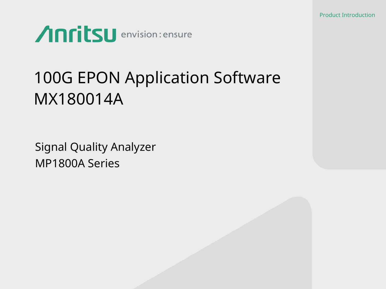

# 100G EPON Application Software MX180014A

Signal Quality Analyzer MP1800A Series

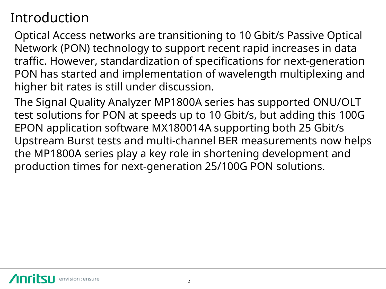#### Introduction

Optical Access networks are transitioning to 10 Gbit/s Passive Optical Network (PON) technology to support recent rapid increases in data traffic. However, standardization of specifications for next-generation PON has started and implementation of wavelength multiplexing and higher bit rates is still under discussion.

The Signal Quality Analyzer MP1800A series has supported ONU/OLT test solutions for PON at speeds up to 10 Gbit/s, but adding this 100G EPON application software MX180014A supporting both 25 Gbit/s Upstream Burst tests and multi-channel BER measurements now helps the MP1800A series play a key role in shortening development and production times for next-generation 25/100G PON solutions.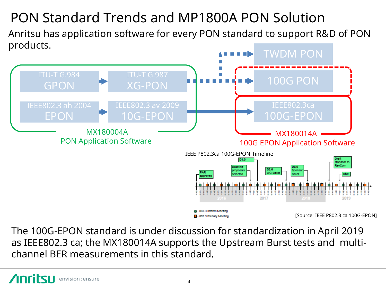# PON Standard Trends and MP1800A PON Solution

Anritsu has application software for every PON standard to support R&D of PON products.



The 100G-EPON standard is under discussion for standardization in April 2019 as IEEE802.3 ca; the MX180014A supports the Upstream Burst tests and multichannel BER measurements in this standard.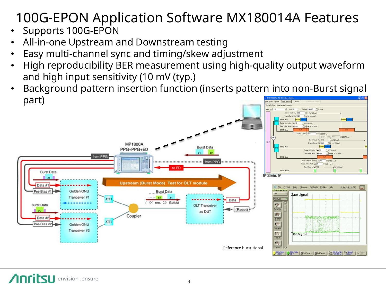# 100G-EPON Application Software MX180014A Features

- Supports 100G-EPON
- All-in-one Upstream and Downstream testing
- Easy multi-channel sync and timing/skew adjustment
- High reproducibility BER measurement using high-quality output waveform and high input sensitivity (10 mV (typ.)
- Background pattern insertion function (inserts pattern into non-Burst signal part)

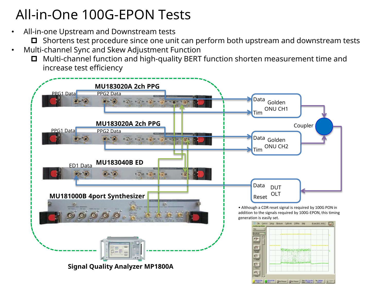#### All-in-One 100G-EPON Tests

- All-in-one Upstream and Downstream tests
	- $\Box$  Shortens test procedure since one unit can perform both upstream and downstream tests
- Multi-channel Sync and Skew Adjustment Function
	- Multi-channel function and high-quality BERT function shorten measurement time and increase test efficiency

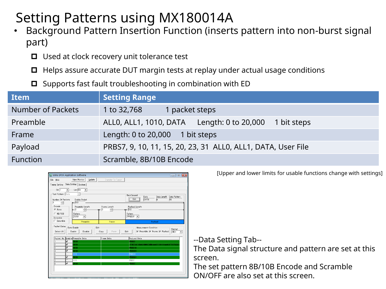### Setting Patterns using MX180014A

- Background Pattern Insertion Function (inserts pattern into non-burst signal part)
	- $\Box$  Used at clock recovery unit tolerance test
	- $\Box$  Helps assure accurate DUT margin tests at replay under actual usage conditions
	- $\Box$  Supports fast fault troubleshooting in combination with ED

| <b>Item</b>              | <b>Setting Range</b>                                         |
|--------------------------|--------------------------------------------------------------|
| <b>Number of Packets</b> | 1 to 32,768<br>1 packet steps                                |
| Preamble                 | ALLO, ALL1, 1010, DATA Length: 0 to 20,000<br>1 bit steps    |
| Frame                    | Length: 0 to 20,000<br>1 bit steps                           |
| Payload                  | PRBS7, 9, 10, 11, 15, 20, 23, 31 ALLO, ALL1, DATA, User File |
| <b>Function</b>          | Scramble, 8B/10B Encode                                      |

| 100G EPON Application Software                                                                                                                                  |                                                                                                                                                                                           |                                           | $\mathbf{x}$<br><u>— 0</u>                                                                                                                                                           |
|-----------------------------------------------------------------------------------------------------------------------------------------------------------------|-------------------------------------------------------------------------------------------------------------------------------------------------------------------------------------------|-------------------------------------------|--------------------------------------------------------------------------------------------------------------------------------------------------------------------------------------|
| File Help                                                                                                                                                       | View Monitor<br>Update                                                                                                                                                                    | Transfer To Target                        |                                                                                                                                                                                      |
| Timing Setting Data Setting System                                                                                                                              |                                                                                                                                                                                           |                                           |                                                                                                                                                                                      |
| CH <sub>1</sub><br>Test Pattern-Data<br>Number Of Packets<br>18<br>$\div$<br>Encode-<br>G None<br>$C$ 8B/10B<br>Scramble-<br>$\Gamma$ Scramble<br>Packet Datas- | $\boxed{\bullet}$ - Unit Bit<br><b>Enable Period</b><br>$-512$<br>Preamble Length<br>클<br>$\overline{\phantom{a}}$ 0<br>Pattern<br>1010<br>$\vert \cdot \vert$<br>Preamble<br>Data Enable | Frame Length<br>클<br>-10<br>Frame<br>Edit | BackGround<br>Data Length Data Pattern<br>Data<br>$E$ dit<br>DATA<br>55<br> 8 <br>Payload Length<br>$+ - 512$<br>Pattern<br>$PRBS31 -$<br>Payload<br>Measurement Condition<br>Format |
| Select All                                                                                                                                                      | Enable<br>Disable                                                                                                                                                                         | Paste<br>Copy                             | <b>▽</b> Preamble <b>▽</b> Frame <b>▽</b> Payload<br>Edit<br><b>HEX</b><br>$\blacktriangledown$                                                                                      |
| Packet No Enable Preamble Data                                                                                                                                  |                                                                                                                                                                                           | Frame Data                                | PayLoad Data                                                                                                                                                                         |
| ⊽<br>1                                                                                                                                                          | 1010                                                                                                                                                                                      |                                           | PRRS7                                                                                                                                                                                |
| $\overline{2}$<br>⊽                                                                                                                                             | 1010                                                                                                                                                                                      |                                           | IFBE7AE1BA62B05E3B64A4272D119AA03F7CF5C3                                                                                                                                             |
| $\overline{\mathbf{3}}$<br>⊽                                                                                                                                    | 1010                                                                                                                                                                                      |                                           | PRBS10                                                                                                                                                                               |
| 4<br>⊽                                                                                                                                                          | 1010                                                                                                                                                                                      |                                           | PRBS23                                                                                                                                                                               |
| $\overline{5}$                                                                                                                                                  | 1010                                                                                                                                                                                      |                                           | <b>PRBS31</b>                                                                                                                                                                        |
| <sub>6</sub><br>⊽                                                                                                                                               | 1010                                                                                                                                                                                      |                                           | PRBS31                                                                                                                                                                               |
| 7                                                                                                                                                               | 1010                                                                                                                                                                                      |                                           | PRBS7                                                                                                                                                                                |
| $\bf{8}$<br>$\overline{\mathbf{v}}$                                                                                                                             | 1010                                                                                                                                                                                      |                                           | <b>PRBS7</b>                                                                                                                                                                         |
|                                                                                                                                                                 |                                                                                                                                                                                           |                                           |                                                                                                                                                                                      |

[Upper and lower limits for usable functions change with settings]

--Data Setting Tab--

The Data signal structure and pattern are set at this screen.

The set pattern 8B/10B Encode and Scramble ON/OFF are also set at this screen.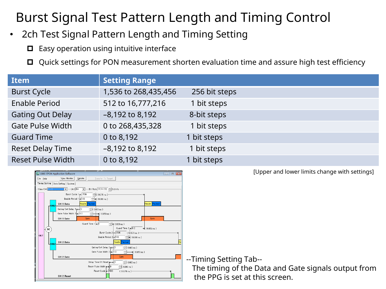#### Burst Signal Test Pattern Length and Timing Control

- 2ch Test Signal Pattern Length and Timing Setting
	- $\Box$  Easy operation using intuitive interface
	- □ Quick settings for PON measurement shorten evaluation time and assure high test efficiency

| <b>Item</b>              | <b>Setting Range</b> |               |  |
|--------------------------|----------------------|---------------|--|
| <b>Burst Cycle</b>       | 1,536 to 268,435,456 | 256 bit steps |  |
| <b>Enable Period</b>     | 512 to 16,777,216    | 1 bit steps   |  |
| <b>Gating Out Delay</b>  | $-8,192$ to 8,192    | 8-bit steps   |  |
| <b>Gate Pulse Width</b>  | 0 to 268,435,328     | 1 bit steps   |  |
| <b>Guard Time</b>        | 0 to 8,192           | 1 bit steps   |  |
| <b>Reset Delay Time</b>  | $-8,192$ to 8,192    | 1 bit steps   |  |
| <b>Reset Pulse Width</b> | 0 to 8,192           | 1 bit steps   |  |



[Upper and lower limits change with settings]

--Timing Setting Tab--

 The timing of the Data and Gate signals output from the PPG is set at this screen.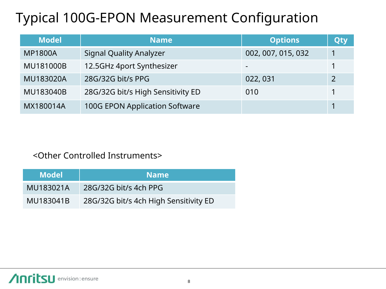### Typical 100G-EPON Measurement Configuration

| <b>Model</b>   | <b>Name</b>                       | <b>Options</b>     | Qty |
|----------------|-----------------------------------|--------------------|-----|
| <b>MP1800A</b> | <b>Signal Quality Analyzer</b>    | 002, 007, 015, 032 |     |
| MU181000B      | 12.5GHz 4port Synthesizer         |                    |     |
| MU183020A      | 28G/32G bit/s PPG                 | 022, 031           |     |
| MU183040B      | 28G/32G bit/s High Sensitivity ED | 010                |     |
| MX180014A      | 100G EPON Application Software    |                    |     |

#### <Other Controlled Instruments>

| <b>Model</b> | <b>Name</b>                           |
|--------------|---------------------------------------|
| MU183021A    | 28G/32G bit/s 4ch PPG                 |
| MU183041B    | 28G/32G bit/s 4ch High Sensitivity ED |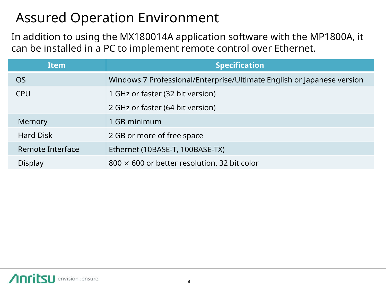#### Assured Operation Environment

In addition to using the MX180014A application software with the MP1800A, it can be installed in a PC to implement remote control over Ethernet.

| <b>Item</b>      | <b>Specification</b>                                                   |
|------------------|------------------------------------------------------------------------|
| <b>OS</b>        | Windows 7 Professional/Enterprise/Ultimate English or Japanese version |
| <b>CPU</b>       | 1 GHz or faster (32 bit version)                                       |
|                  | 2 GHz or faster (64 bit version)                                       |
| Memory           | 1 GB minimum                                                           |
| <b>Hard Disk</b> | 2 GB or more of free space                                             |
| Remote Interface | Ethernet (10BASE-T, 100BASE-TX)                                        |
| Display          | $800 \times 600$ or better resolution, 32 bit color                    |